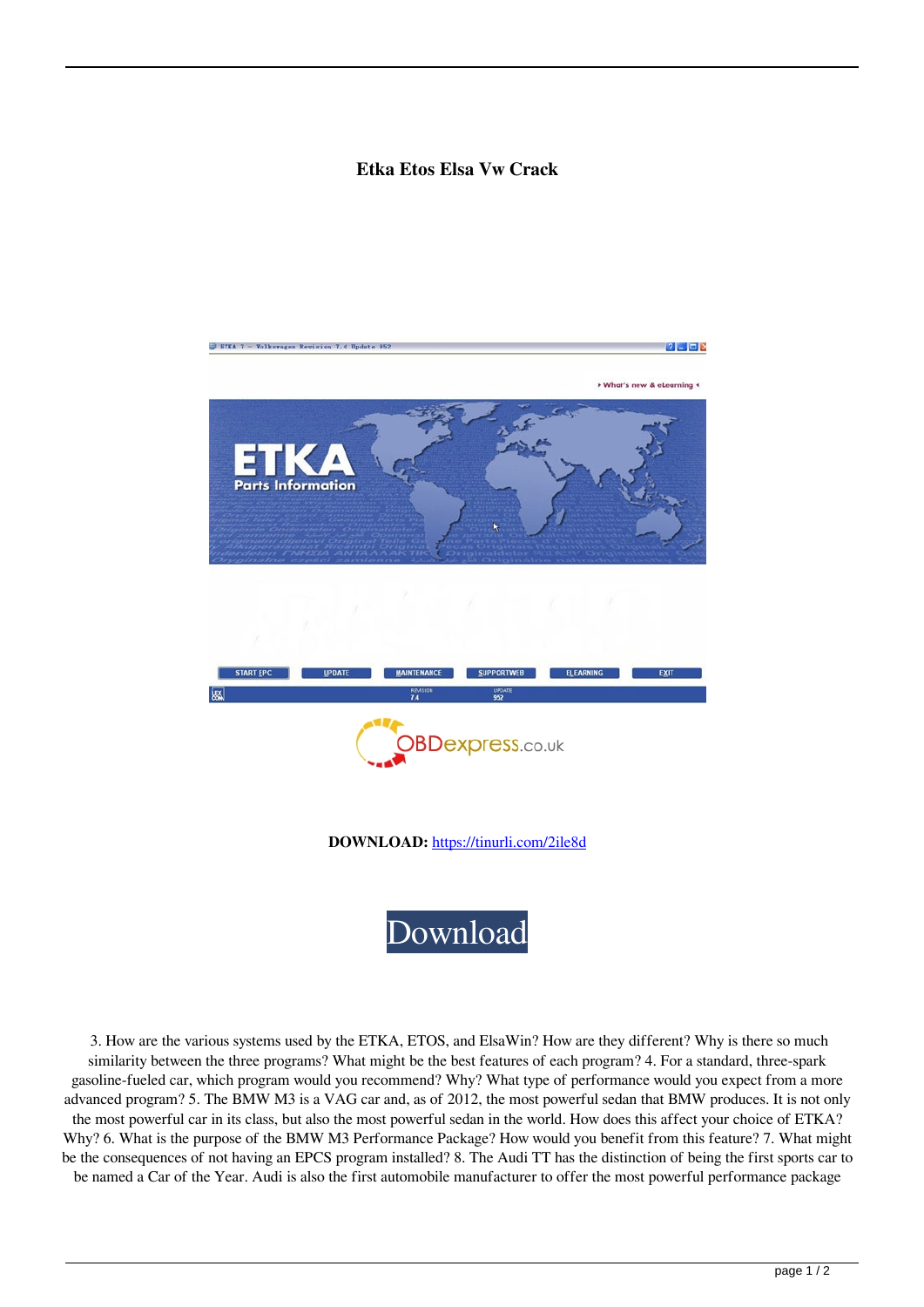## **Etka Etos Elsa Vw Crack**



 3. How are the various systems used by the ETKA, ETOS, and ElsaWin? How are they different? Why is there so much similarity between the three programs? What might be the best features of each program? 4. For a standard, three-spark gasoline-fueled car, which program would you recommend? Why? What type of performance would you expect from a more advanced program? 5. The BMW M3 is a VAG car and, as of 2012, the most powerful sedan that BMW produces. It is not only the most powerful car in its class, but also the most powerful sedan in the world. How does this affect your choice of ETKA? Why? 6. What is the purpose of the BMW M3 Performance Package? How would you benefit from this feature? 7. What might be the consequences of not having an EPCS program installed? 8. The Audi TT has the distinction of being the first sports car to be named a Car of the Year. Audi is also the first automobile manufacturer to offer the most powerful performance package